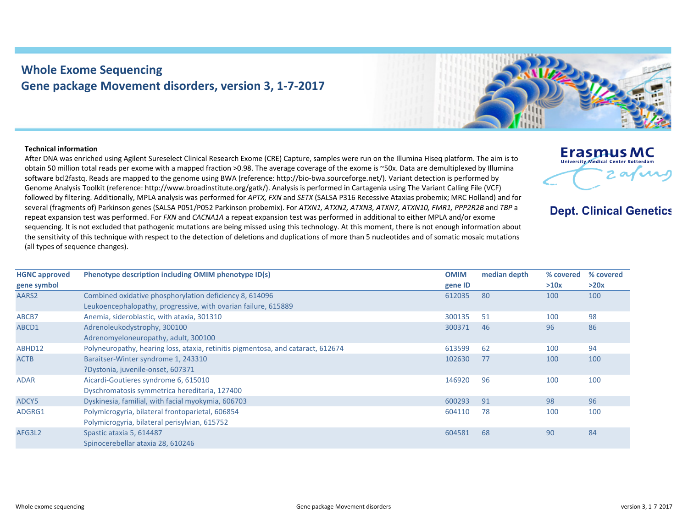## **Whole Exome Sequencing Gene package Movement disorders, version 3, 1‐7‐2017**

## **Technical information**

After DNA was enriched using Agilent Sureselect Clinical Research Exome (CRE) Capture, samples were run on the Illumina Hiseq platform. The aim is to obtain 50 million total reads per exome with <sup>a</sup> mapped fraction >0.98. The average coverage of the exome is ~50x. Data are demultiplexed by Illumina software bcl2fastq. Reads are mapped to the genome using BWA (reference: http://bio‐bwa.sourceforge.net/). Variant detection is performed by Genome Analysis Toolkit (reference: http://www.broadinstitute.org/gatk/). Analysis is performed in Cartagenia using The Variant Calling File (VCF) followed by filtering. Additionally, MPLA analysis was performed for *APTX, FXN* and *SETX* (SALSA P316 Recessive Ataxias probemix; MRC Holland) and for several (fragments of) Parkinson genes (SALSA P051/P052 Parkinson probemix). For *ATXN1, ATXN2, ATXN3, ATXN7, ATXN10, FMR1, PPP2R2B* and *TBP* <sup>a</sup> repeat expansion test was performed. For *FXN* and *CACNA1A* <sup>a</sup> repeat expansion test was performed in additional to either MPLA and/or exome sequencing. It is not excluded that pathogenic mutations are being missed using this technology. At this moment, there is not enough information about the sensitivity of this technique with respect to the detection of deletions and duplications of more than 5 nucleotides and of somatic mosaic mutations (all types of sequence changes).

| <b>HGNC approved</b> | Phenotype description including OMIM phenotype ID(s)                             | <b>OMIM</b> | median depth | % covered | % covered |
|----------------------|----------------------------------------------------------------------------------|-------------|--------------|-----------|-----------|
| gene symbol          |                                                                                  | gene ID     |              | >10x      | >20x      |
| AARS2                | Combined oxidative phosphorylation deficiency 8, 614096                          | 612035      | 80           | 100       | 100       |
|                      | Leukoencephalopathy, progressive, with ovarian failure, 615889                   |             |              |           |           |
| ABCB7                | Anemia, sideroblastic, with ataxia, 301310                                       | 300135      | 51           | 100       | 98        |
| ABCD1                | Adrenoleukodystrophy, 300100                                                     | 300371      | 46           | 96        | 86        |
|                      | Adrenomyeloneuropathy, adult, 300100                                             |             |              |           |           |
| ABHD12               | Polyneuropathy, hearing loss, ataxia, retinitis pigmentosa, and cataract, 612674 | 613599      | 62           | 100       | 94        |
| <b>ACTB</b>          | Baraitser-Winter syndrome 1, 243310                                              | 102630      | 77           | 100       | 100       |
|                      | PDystonia, juvenile-onset, 607371                                                |             |              |           |           |
| <b>ADAR</b>          | Aicardi-Goutieres syndrome 6, 615010                                             | 146920      | 96           | 100       | 100       |
|                      | Dyschromatosis symmetrica hereditaria, 127400                                    |             |              |           |           |
| ADCY5                | Dyskinesia, familial, with facial myokymia, 606703                               | 600293      | 91           | 98        | 96        |
| ADGRG1               | Polymicrogyria, bilateral frontoparietal, 606854                                 | 604110      | 78           | 100       | 100       |
|                      | Polymicrogyria, bilateral perisylvian, 615752                                    |             |              |           |           |
| AFG3L2               | Spastic ataxia 5, 614487                                                         | 604581      | 68           | 90        | 84        |
|                      | Spinocerebellar ataxia 28, 610246                                                |             |              |           |           |



**Erasmus MC** University Medical Center Rotterda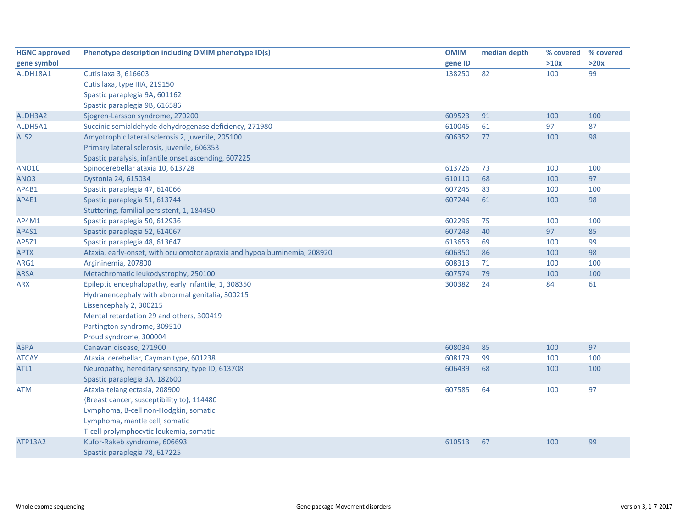| <b>HGNC approved</b> | Phenotype description including OMIM phenotype ID(s)                     | <b>OMIM</b> | median depth | % covered | % covered |
|----------------------|--------------------------------------------------------------------------|-------------|--------------|-----------|-----------|
| gene symbol          |                                                                          | gene ID     |              | >10x      | >20x      |
| ALDH18A1             | Cutis laxa 3, 616603                                                     | 138250      | 82           | 100       | 99        |
|                      | Cutis laxa, type IIIA, 219150                                            |             |              |           |           |
|                      | Spastic paraplegia 9A, 601162                                            |             |              |           |           |
|                      | Spastic paraplegia 9B, 616586                                            |             |              |           |           |
| ALDH3A2              | Sjogren-Larsson syndrome, 270200                                         | 609523      | 91           | 100       | 100       |
| ALDH5A1              | Succinic semialdehyde dehydrogenase deficiency, 271980                   | 610045      | 61           | 97        | 87        |
| ALS <sub>2</sub>     | Amyotrophic lateral sclerosis 2, juvenile, 205100                        | 606352      | 77           | 100       | 98        |
|                      | Primary lateral sclerosis, juvenile, 606353                              |             |              |           |           |
|                      | Spastic paralysis, infantile onset ascending, 607225                     |             |              |           |           |
| <b>ANO10</b>         | Spinocerebellar ataxia 10, 613728                                        | 613726      | 73           | 100       | 100       |
| ANO3                 | Dystonia 24, 615034                                                      | 610110      | 68           | 100       | 97        |
| AP4B1                | Spastic paraplegia 47, 614066                                            | 607245      | 83           | 100       | 100       |
| AP4E1                | Spastic paraplegia 51, 613744                                            | 607244      | 61           | 100       | 98        |
|                      | Stuttering, familial persistent, 1, 184450                               |             |              |           |           |
| AP4M1                | Spastic paraplegia 50, 612936                                            | 602296      | 75           | 100       | 100       |
| AP4S1                | Spastic paraplegia 52, 614067                                            | 607243      | 40           | 97        | 85        |
| AP5Z1                | Spastic paraplegia 48, 613647                                            | 613653      | 69           | 100       | 99        |
| <b>APTX</b>          | Ataxia, early-onset, with oculomotor apraxia and hypoalbuminemia, 208920 | 606350      | 86           | 100       | 98        |
| ARG1                 | Argininemia, 207800                                                      | 608313      | 71           | 100       | 100       |
| <b>ARSA</b>          | Metachromatic leukodystrophy, 250100                                     | 607574      | 79           | 100       | 100       |
| <b>ARX</b>           | Epileptic encephalopathy, early infantile, 1, 308350                     | 300382      | 24           | 84        | 61        |
|                      | Hydranencephaly with abnormal genitalia, 300215                          |             |              |           |           |
|                      | Lissencephaly 2, 300215                                                  |             |              |           |           |
|                      | Mental retardation 29 and others, 300419                                 |             |              |           |           |
|                      | Partington syndrome, 309510                                              |             |              |           |           |
|                      | Proud syndrome, 300004                                                   |             |              |           |           |
| <b>ASPA</b>          | Canavan disease, 271900                                                  | 608034      | 85           | 100       | 97        |
| <b>ATCAY</b>         | Ataxia, cerebellar, Cayman type, 601238                                  | 608179      | 99           | 100       | 100       |
| ATL1                 | Neuropathy, hereditary sensory, type ID, 613708                          | 606439      | 68           | 100       | 100       |
|                      | Spastic paraplegia 3A, 182600                                            |             |              |           |           |
| ATM                  | Ataxia-telangiectasia, 208900                                            | 607585      | 64           | 100       | 97        |
|                      | {Breast cancer, susceptibility to}, 114480                               |             |              |           |           |
|                      | Lymphoma, B-cell non-Hodgkin, somatic                                    |             |              |           |           |
|                      | Lymphoma, mantle cell, somatic                                           |             |              |           |           |
|                      | T-cell prolymphocytic leukemia, somatic                                  |             |              |           |           |
| <b>ATP13A2</b>       | Kufor-Rakeb syndrome, 606693                                             | 610513      | 67           | 100       | 99        |
|                      | Spastic paraplegia 78, 617225                                            |             |              |           |           |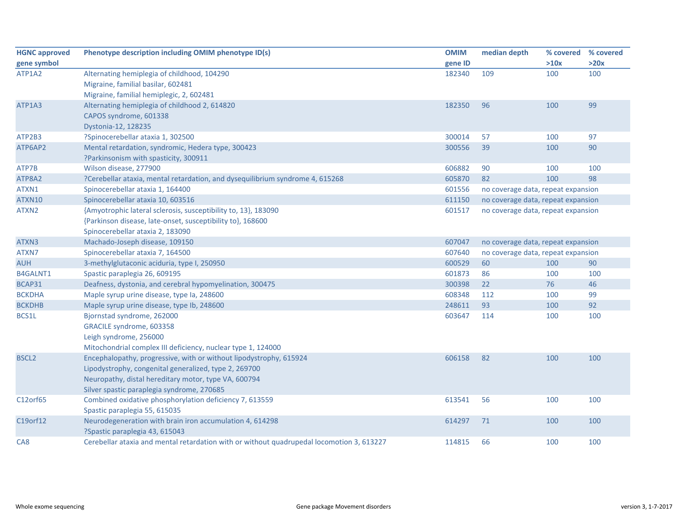| <b>HGNC approved</b> | Phenotype description including OMIM phenotype ID(s)                                      | <b>OMIM</b> | median depth                       | % covered                          | % covered |  |
|----------------------|-------------------------------------------------------------------------------------------|-------------|------------------------------------|------------------------------------|-----------|--|
| gene symbol          |                                                                                           | gene ID     |                                    | >10x                               | >20x      |  |
| ATP1A2               | Alternating hemiplegia of childhood, 104290                                               | 182340      | 109                                | 100                                | 100       |  |
|                      | Migraine, familial basilar, 602481                                                        |             |                                    |                                    |           |  |
|                      | Migraine, familial hemiplegic, 2, 602481                                                  |             |                                    |                                    |           |  |
| ATP1A3               | Alternating hemiplegia of childhood 2, 614820                                             | 182350      | 96                                 | 100                                | 99        |  |
|                      | CAPOS syndrome, 601338                                                                    |             |                                    |                                    |           |  |
|                      | Dystonia-12, 128235                                                                       |             |                                    |                                    |           |  |
| ATP2B3               | ?Spinocerebellar ataxia 1, 302500                                                         | 300014      | 57                                 | 100                                | 97        |  |
| ATP6AP2              | Mental retardation, syndromic, Hedera type, 300423                                        | 300556      | 39                                 | 100                                | 90        |  |
|                      | ?Parkinsonism with spasticity, 300911                                                     |             |                                    |                                    |           |  |
| ATP7B                | Wilson disease, 277900                                                                    | 606882      | 90                                 | 100                                | 100       |  |
| ATP8A2               | ?Cerebellar ataxia, mental retardation, and dysequilibrium syndrome 4, 615268             | 605870      | 82                                 | 100                                | 98        |  |
| ATXN1                | Spinocerebellar ataxia 1, 164400                                                          | 601556      | no coverage data, repeat expansion |                                    |           |  |
| ATXN10               | Spinocerebellar ataxia 10, 603516                                                         | 611150      | no coverage data, repeat expansion |                                    |           |  |
| ATXN2                | {Amyotrophic lateral sclerosis, susceptibility to, 13}, 183090                            | 601517      | no coverage data, repeat expansion |                                    |           |  |
|                      | {Parkinson disease, late-onset, susceptibility to}, 168600                                |             |                                    |                                    |           |  |
|                      | Spinocerebellar ataxia 2, 183090                                                          |             |                                    |                                    |           |  |
| ATXN3                | Machado-Joseph disease, 109150                                                            | 607047      | no coverage data, repeat expansion |                                    |           |  |
| ATXN7                | Spinocerebellar ataxia 7, 164500                                                          | 607640      |                                    | no coverage data, repeat expansion |           |  |
| <b>AUH</b>           | 3-methylglutaconic aciduria, type I, 250950                                               | 600529      | 60                                 | 100                                | 90        |  |
| B4GALNT1             | Spastic paraplegia 26, 609195                                                             | 601873      | 86                                 | 100                                | 100       |  |
| BCAP31               | Deafness, dystonia, and cerebral hypomyelination, 300475                                  | 300398      | 22                                 | 76                                 | 46        |  |
| <b>BCKDHA</b>        | Maple syrup urine disease, type Ia, 248600                                                | 608348      | 112                                | 100                                | 99        |  |
| <b>BCKDHB</b>        | Maple syrup urine disease, type lb, 248600                                                | 248611      | 93                                 | 100                                | 92        |  |
| BCS1L                | Bjornstad syndrome, 262000                                                                | 603647      | 114                                | 100                                | 100       |  |
|                      | GRACILE syndrome, 603358                                                                  |             |                                    |                                    |           |  |
|                      | Leigh syndrome, 256000                                                                    |             |                                    |                                    |           |  |
|                      | Mitochondrial complex III deficiency, nuclear type 1, 124000                              |             |                                    |                                    |           |  |
| <b>BSCL2</b>         | Encephalopathy, progressive, with or without lipodystrophy, 615924                        | 606158      | 82                                 | 100                                | 100       |  |
|                      | Lipodystrophy, congenital generalized, type 2, 269700                                     |             |                                    |                                    |           |  |
|                      | Neuropathy, distal hereditary motor, type VA, 600794                                      |             |                                    |                                    |           |  |
|                      | Silver spastic paraplegia syndrome, 270685                                                |             |                                    |                                    |           |  |
| C12orf65             | Combined oxidative phosphorylation deficiency 7, 613559                                   | 613541      | 56                                 | 100                                | 100       |  |
|                      | Spastic paraplegia 55, 615035                                                             |             |                                    |                                    |           |  |
| C19orf12             | Neurodegeneration with brain iron accumulation 4, 614298                                  | 614297      | 71                                 | 100                                | 100       |  |
|                      | ?Spastic paraplegia 43, 615043                                                            |             |                                    |                                    |           |  |
| CA <sub>8</sub>      | Cerebellar ataxia and mental retardation with or without quadrupedal locomotion 3, 613227 | 114815      | 66                                 | 100                                | 100       |  |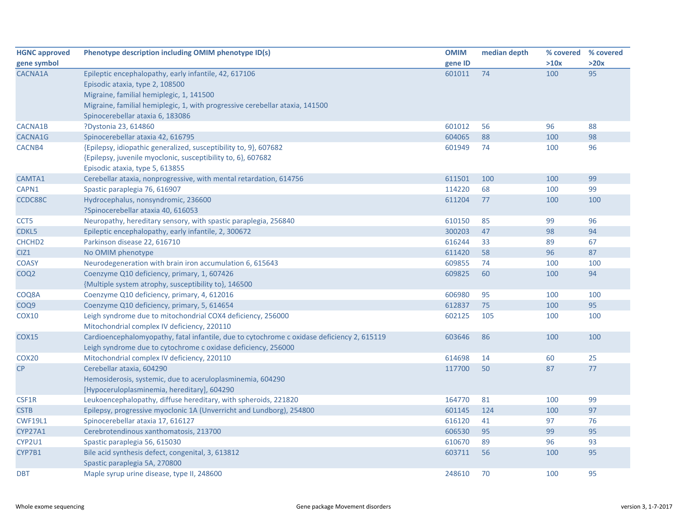| <b>HGNC approved</b> | Phenotype description including OMIM phenotype ID(s)                                       | <b>OMIM</b> | median depth |      | % covered % covered |
|----------------------|--------------------------------------------------------------------------------------------|-------------|--------------|------|---------------------|
| gene symbol          |                                                                                            | gene ID     |              | >10x | >20x                |
| CACNA1A              | Epileptic encephalopathy, early infantile, 42, 617106                                      | 601011      | 74           | 100  | 95                  |
|                      | Episodic ataxia, type 2, 108500                                                            |             |              |      |                     |
|                      | Migraine, familial hemiplegic, 1, 141500                                                   |             |              |      |                     |
|                      | Migraine, familial hemiplegic, 1, with progressive cerebellar ataxia, 141500               |             |              |      |                     |
|                      | Spinocerebellar ataxia 6, 183086                                                           |             |              |      |                     |
| <b>CACNA1B</b>       | ?Dystonia 23, 614860                                                                       | 601012      | 56           | 96   | 88                  |
| CACNA1G              | Spinocerebellar ataxia 42, 616795                                                          | 604065      | 88           | 100  | 98                  |
| CACNB4               | {Epilepsy, idiopathic generalized, susceptibility to, 9}, 607682                           | 601949      | 74           | 100  | 96                  |
|                      | {Epilepsy, juvenile myoclonic, susceptibility to, 6}, 607682                               |             |              |      |                     |
|                      | Episodic ataxia, type 5, 613855                                                            |             |              |      |                     |
| CAMTA1               | Cerebellar ataxia, nonprogressive, with mental retardation, 614756                         | 611501      | 100          | 100  | 99                  |
| CAPN1                | Spastic paraplegia 76, 616907                                                              | 114220      | 68           | 100  | 99                  |
| CCDC88C              | Hydrocephalus, nonsyndromic, 236600                                                        | 611204      | 77           | 100  | 100                 |
|                      | ?Spinocerebellar ataxia 40, 616053                                                         |             |              |      |                     |
| CCT5                 | Neuropathy, hereditary sensory, with spastic paraplegia, 256840                            | 610150      | 85           | 99   | 96                  |
| CDKL5                | Epileptic encephalopathy, early infantile, 2, 300672                                       | 300203      | 47           | 98   | 94                  |
| CHCHD <sub>2</sub>   | Parkinson disease 22, 616710                                                               | 616244      | 33           | 89   | 67                  |
| CIZ1                 | No OMIM phenotype                                                                          | 611420      | 58           | 96   | 87                  |
| <b>COASY</b>         | Neurodegeneration with brain iron accumulation 6, 615643                                   | 609855      | 74           | 100  | 100                 |
| COQ <sub>2</sub>     | Coenzyme Q10 deficiency, primary, 1, 607426                                                | 609825      | 60           | 100  | 94                  |
|                      | {Multiple system atrophy, susceptibility to}, 146500                                       |             |              |      |                     |
| COQ8A                | Coenzyme Q10 deficiency, primary, 4, 612016                                                | 606980      | 95           | 100  | 100                 |
| COQ9                 | Coenzyme Q10 deficiency, primary, 5, 614654                                                | 612837      | 75           | 100  | 95                  |
| COX10                | Leigh syndrome due to mitochondrial COX4 deficiency, 256000                                | 602125      | 105          | 100  | 100                 |
|                      | Mitochondrial complex IV deficiency, 220110                                                |             |              |      |                     |
| <b>COX15</b>         | Cardioencephalomyopathy, fatal infantile, due to cytochrome c oxidase deficiency 2, 615119 | 603646      | 86           | 100  | 100                 |
|                      | Leigh syndrome due to cytochrome c oxidase deficiency, 256000                              |             |              |      |                     |
| COX <sub>20</sub>    | Mitochondrial complex IV deficiency, 220110                                                | 614698      | 14           | 60   | 25                  |
| CP                   | Cerebellar ataxia, 604290                                                                  | 117700      | 50           | 87   | 77                  |
|                      | Hemosiderosis, systemic, due to aceruloplasminemia, 604290                                 |             |              |      |                     |
|                      | [Hypoceruloplasminemia, hereditary], 604290                                                |             |              |      |                     |
| CSF1R                | Leukoencephalopathy, diffuse hereditary, with spheroids, 221820                            | 164770      | 81           | 100  | 99                  |
| <b>CSTB</b>          | Epilepsy, progressive myoclonic 1A (Unverricht and Lundborg), 254800                       | 601145      | 124          | 100  | 97                  |
| <b>CWF19L1</b>       | Spinocerebellar ataxia 17, 616127                                                          | 616120      | 41           | 97   | 76                  |
| <b>CYP27A1</b>       | Cerebrotendinous xanthomatosis, 213700                                                     | 606530      | 95           | 99   | 95                  |
| CYP2U1               | Spastic paraplegia 56, 615030                                                              | 610670      | 89           | 96   | 93                  |
| CYP7B1               | Bile acid synthesis defect, congenital, 3, 613812                                          | 603711      | 56           | 100  | 95                  |
|                      | Spastic paraplegia 5A, 270800                                                              |             |              |      |                     |
| <b>DBT</b>           | Maple syrup urine disease, type II, 248600                                                 | 248610      | 70           | 100  | 95                  |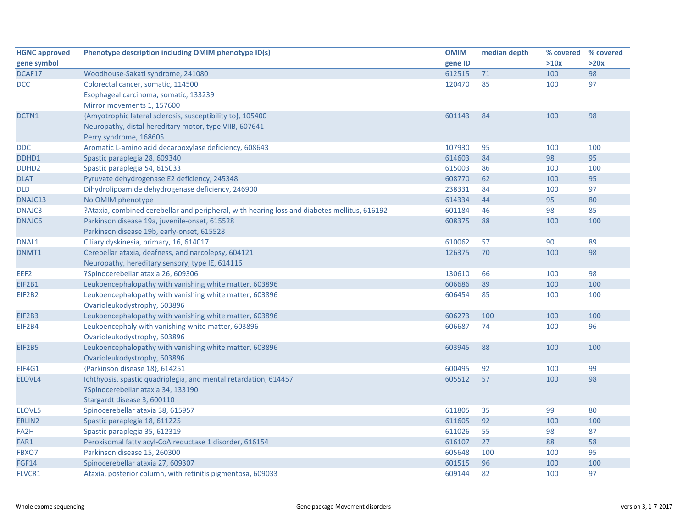| <b>HGNC approved</b> | Phenotype description including OMIM phenotype ID(s)                                         | <b>OMIM</b> | median depth | % covered % covered |      |
|----------------------|----------------------------------------------------------------------------------------------|-------------|--------------|---------------------|------|
| gene symbol          |                                                                                              | gene ID     |              | >10x                | >20x |
| DCAF17               | Woodhouse-Sakati syndrome, 241080                                                            | 612515      | 71           | 100                 | 98   |
| <b>DCC</b>           | Colorectal cancer, somatic, 114500                                                           | 120470      | 85           | 100                 | 97   |
|                      | Esophageal carcinoma, somatic, 133239                                                        |             |              |                     |      |
|                      | Mirror movements 1, 157600                                                                   |             |              |                     |      |
| DCTN1                | {Amyotrophic lateral sclerosis, susceptibility to}, 105400                                   | 601143      | 84           | 100                 | 98   |
|                      | Neuropathy, distal hereditary motor, type VIIB, 607641                                       |             |              |                     |      |
|                      | Perry syndrome, 168605                                                                       |             |              |                     |      |
| <b>DDC</b>           | Aromatic L-amino acid decarboxylase deficiency, 608643                                       | 107930      | 95           | 100                 | 100  |
| DDHD1                | Spastic paraplegia 28, 609340                                                                | 614603      | 84           | 98                  | 95   |
| DDHD <sub>2</sub>    | Spastic paraplegia 54, 615033                                                                | 615003      | 86           | 100                 | 100  |
| <b>DLAT</b>          | Pyruvate dehydrogenase E2 deficiency, 245348                                                 | 608770      | 62           | 100                 | 95   |
| <b>DLD</b>           | Dihydrolipoamide dehydrogenase deficiency, 246900                                            | 238331      | 84           | 100                 | 97   |
| DNAJC13              | No OMIM phenotype                                                                            | 614334      | 44           | 95                  | 80   |
| <b>DNAJC3</b>        | ?Ataxia, combined cerebellar and peripheral, with hearing loss and diabetes mellitus, 616192 | 601184      | 46           | 98                  | 85   |
| <b>DNAJC6</b>        | Parkinson disease 19a, juvenile-onset, 615528                                                | 608375      | 88           | 100                 | 100  |
|                      | Parkinson disease 19b, early-onset, 615528                                                   |             |              |                     |      |
| DNAL1                | Ciliary dyskinesia, primary, 16, 614017                                                      | 610062      | 57           | 90                  | 89   |
| DNMT1                | Cerebellar ataxia, deafness, and narcolepsy, 604121                                          | 126375      | 70           | 100                 | 98   |
|                      | Neuropathy, hereditary sensory, type IE, 614116                                              |             |              |                     |      |
| EEF2                 | ?Spinocerebellar ataxia 26, 609306                                                           | 130610      | 66           | 100                 | 98   |
| EIF2B1               | Leukoencephalopathy with vanishing white matter, 603896                                      | 606686      | 89           | 100                 | 100  |
| EIF2B2               | Leukoencephalopathy with vanishing white matter, 603896                                      | 606454      | 85           | 100                 | 100  |
|                      | Ovarioleukodystrophy, 603896                                                                 |             |              |                     |      |
| <b>EIF2B3</b>        | Leukoencephalopathy with vanishing white matter, 603896                                      | 606273      | 100          | 100                 | 100  |
| EIF2B4               | Leukoencephaly with vanishing white matter, 603896                                           | 606687      | 74           | 100                 | 96   |
|                      | Ovarioleukodystrophy, 603896                                                                 |             |              |                     |      |
| EIF2B5               | Leukoencephalopathy with vanishing white matter, 603896                                      | 603945      | 88           | 100                 | 100  |
|                      | Ovarioleukodystrophy, 603896                                                                 |             |              |                     |      |
| EIF4G1               | {Parkinson disease 18}, 614251                                                               | 600495      | 92           | 100                 | 99   |
| ELOVL4               | Ichthyosis, spastic quadriplegia, and mental retardation, 614457                             | 605512      | 57           | 100                 | 98   |
|                      | ?Spinocerebellar ataxia 34, 133190                                                           |             |              |                     |      |
|                      | Stargardt disease 3, 600110                                                                  |             |              |                     |      |
| ELOVL5               | Spinocerebellar ataxia 38, 615957                                                            | 611805      | 35           | 99                  | 80   |
| ERLIN2               | Spastic paraplegia 18, 611225                                                                | 611605      | 92           | 100                 | 100  |
| FA <sub>2</sub> H    | Spastic paraplegia 35, 612319                                                                | 611026      | 55           | 98                  | 87   |
| FAR1                 | Peroxisomal fatty acyl-CoA reductase 1 disorder, 616154                                      | 616107      | 27           | 88                  | 58   |
| FBXO7                | Parkinson disease 15, 260300                                                                 | 605648      | 100          | 100                 | 95   |
| <b>FGF14</b>         | Spinocerebellar ataxia 27, 609307                                                            | 601515      | 96           | 100                 | 100  |
| FLVCR1               | Ataxia, posterior column, with retinitis pigmentosa, 609033                                  | 609144      | 82           | 100                 | 97   |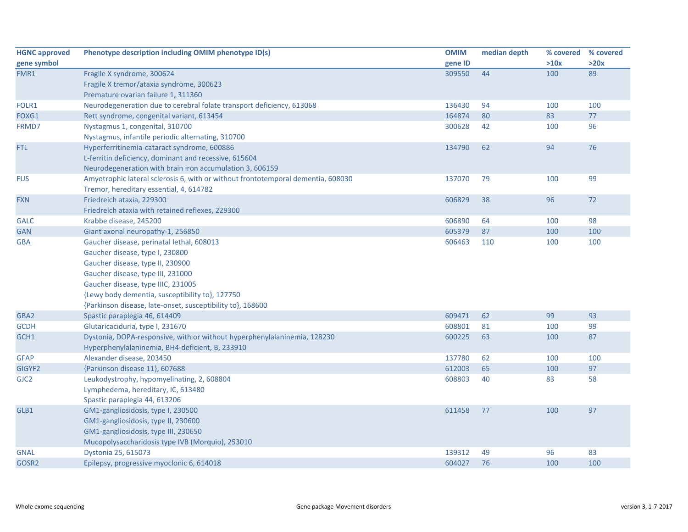| <b>HGNC approved</b> | Phenotype description including OMIM phenotype ID(s)                             | <b>OMIM</b> | median depth |      | % covered % covered |
|----------------------|----------------------------------------------------------------------------------|-------------|--------------|------|---------------------|
| gene symbol          |                                                                                  | gene ID     |              | >10x | >20x                |
| FMR1                 | Fragile X syndrome, 300624                                                       | 309550      | 44           | 100  | 89                  |
|                      | Fragile X tremor/ataxia syndrome, 300623                                         |             |              |      |                     |
|                      | Premature ovarian failure 1, 311360                                              |             |              |      |                     |
| FOLR1                | Neurodegeneration due to cerebral folate transport deficiency, 613068            | 136430      | 94           | 100  | 100                 |
| FOXG1                | Rett syndrome, congenital variant, 613454                                        | 164874      | 80           | 83   | 77                  |
| FRMD7                | Nystagmus 1, congenital, 310700                                                  | 300628      | 42           | 100  | 96                  |
|                      | Nystagmus, infantile periodic alternating, 310700                                |             |              |      |                     |
| <b>FTL</b>           | Hyperferritinemia-cataract syndrome, 600886                                      | 134790      | 62           | 94   | 76                  |
|                      | L-ferritin deficiency, dominant and recessive, 615604                            |             |              |      |                     |
|                      | Neurodegeneration with brain iron accumulation 3, 606159                         |             |              |      |                     |
| <b>FUS</b>           | Amyotrophic lateral sclerosis 6, with or without frontotemporal dementia, 608030 | 137070      | 79           | 100  | 99                  |
|                      | Tremor, hereditary essential, 4, 614782                                          |             |              |      |                     |
| <b>FXN</b>           | Friedreich ataxia, 229300                                                        | 606829      | 38           | 96   | 72                  |
|                      | Friedreich ataxia with retained reflexes, 229300                                 |             |              |      |                     |
| <b>GALC</b>          | Krabbe disease, 245200                                                           | 606890      | 64           | 100  | 98                  |
| <b>GAN</b>           | Giant axonal neuropathy-1, 256850                                                | 605379      | 87           | 100  | 100                 |
| <b>GBA</b>           | Gaucher disease, perinatal lethal, 608013                                        | 606463      | 110          | 100  | 100                 |
|                      | Gaucher disease, type I, 230800                                                  |             |              |      |                     |
|                      | Gaucher disease, type II, 230900                                                 |             |              |      |                     |
|                      | Gaucher disease, type III, 231000                                                |             |              |      |                     |
|                      | Gaucher disease, type IIIC, 231005                                               |             |              |      |                     |
|                      | {Lewy body dementia, susceptibility to}, 127750                                  |             |              |      |                     |
|                      | {Parkinson disease, late-onset, susceptibility to}, 168600                       |             |              |      |                     |
| GBA2                 | Spastic paraplegia 46, 614409                                                    | 609471      | 62           | 99   | 93                  |
| <b>GCDH</b>          | Glutaricaciduria, type I, 231670                                                 | 608801      | 81           | 100  | 99                  |
| GCH1                 | Dystonia, DOPA-responsive, with or without hyperphenylalaninemia, 128230         | 600225      | 63           | 100  | 87                  |
|                      | Hyperphenylalaninemia, BH4-deficient, B, 233910                                  |             |              |      |                     |
| <b>GFAP</b>          | Alexander disease, 203450                                                        | 137780      | 62           | 100  | 100                 |
| GIGYF2               | {Parkinson disease 11}, 607688                                                   | 612003      | 65           | 100  | 97                  |
| GJC <sub>2</sub>     | Leukodystrophy, hypomyelinating, 2, 608804                                       | 608803      | 40           | 83   | 58                  |
|                      | Lymphedema, hereditary, IC, 613480                                               |             |              |      |                     |
|                      | Spastic paraplegia 44, 613206                                                    |             |              |      |                     |
| GLB1                 | GM1-gangliosidosis, type I, 230500                                               | 611458      | 77           | 100  | 97                  |
|                      | GM1-gangliosidosis, type II, 230600                                              |             |              |      |                     |
|                      | GM1-gangliosidosis, type III, 230650                                             |             |              |      |                     |
|                      | Mucopolysaccharidosis type IVB (Morquio), 253010                                 |             |              |      |                     |
| <b>GNAL</b>          | Dystonia 25, 615073                                                              | 139312      | 49           | 96   | 83                  |
| GOSR <sub>2</sub>    | Epilepsy, progressive myoclonic 6, 614018                                        | 604027      | 76           | 100  | 100                 |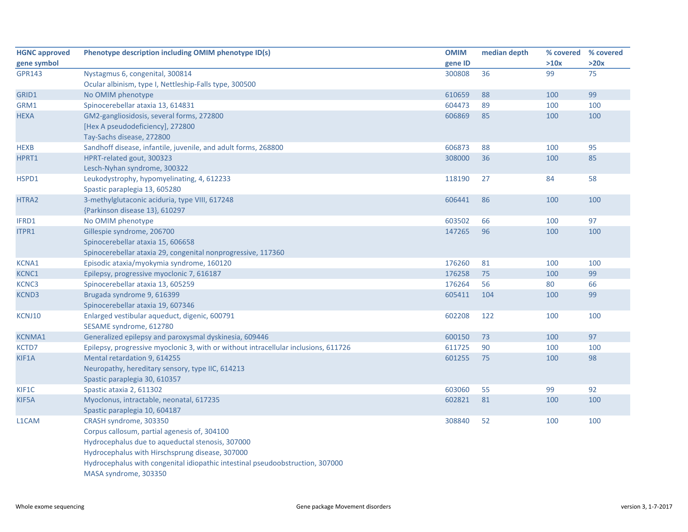| <b>HGNC approved</b> | Phenotype description including OMIM phenotype ID(s)                                | <b>OMIM</b> | median depth | % covered % covered |      |
|----------------------|-------------------------------------------------------------------------------------|-------------|--------------|---------------------|------|
| gene symbol          |                                                                                     | gene ID     |              | >10x                | >20x |
| <b>GPR143</b>        | Nystagmus 6, congenital, 300814                                                     | 300808      | 36           | 99                  | 75   |
|                      | Ocular albinism, type I, Nettleship-Falls type, 300500                              |             |              |                     |      |
| GRID1                | No OMIM phenotype                                                                   | 610659      | 88           | 100                 | 99   |
| GRM1                 | Spinocerebellar ataxia 13, 614831                                                   | 604473      | 89           | 100                 | 100  |
| <b>HEXA</b>          | GM2-gangliosidosis, several forms, 272800                                           | 606869      | 85           | 100                 | 100  |
|                      | [Hex A pseudodeficiency], 272800                                                    |             |              |                     |      |
|                      | Tay-Sachs disease, 272800                                                           |             |              |                     |      |
| <b>HEXB</b>          | Sandhoff disease, infantile, juvenile, and adult forms, 268800                      | 606873      | 88           | 100                 | 95   |
| HPRT1                | HPRT-related gout, 300323                                                           | 308000      | 36           | 100                 | 85   |
|                      | Lesch-Nyhan syndrome, 300322                                                        |             |              |                     |      |
| HSPD1                | Leukodystrophy, hypomyelinating, 4, 612233                                          | 118190      | 27           | 84                  | 58   |
|                      | Spastic paraplegia 13, 605280                                                       |             |              |                     |      |
| HTRA2                | 3-methylglutaconic aciduria, type VIII, 617248                                      | 606441      | 86           | 100                 | 100  |
|                      | {Parkinson disease 13}, 610297                                                      |             |              |                     |      |
| IFRD1                | No OMIM phenotype                                                                   | 603502      | 66           | 100                 | 97   |
| ITPR1                | Gillespie syndrome, 206700                                                          | 147265      | 96           | 100                 | 100  |
|                      | Spinocerebellar ataxia 15, 606658                                                   |             |              |                     |      |
|                      | Spinocerebellar ataxia 29, congenital nonprogressive, 117360                        |             |              |                     |      |
| <b>KCNA1</b>         | Episodic ataxia/myokymia syndrome, 160120                                           | 176260      | 81           | 100                 | 100  |
| KCNC1                | Epilepsy, progressive myoclonic 7, 616187                                           | 176258      | 75           | 100                 | 99   |
| KCNC3                | Spinocerebellar ataxia 13, 605259                                                   | 176264      | 56           | 80                  | 66   |
| KCND3                | Brugada syndrome 9, 616399                                                          | 605411      | 104          | 100                 | 99   |
|                      | Spinocerebellar ataxia 19, 607346                                                   |             |              |                     |      |
| KCNJ10               | Enlarged vestibular aqueduct, digenic, 600791                                       | 602208      | 122          | 100                 | 100  |
|                      | SESAME syndrome, 612780                                                             |             |              |                     |      |
| <b>KCNMA1</b>        | Generalized epilepsy and paroxysmal dyskinesia, 609446                              | 600150      | 73           | 100                 | 97   |
| <b>KCTD7</b>         | Epilepsy, progressive myoclonic 3, with or without intracellular inclusions, 611726 | 611725      | 90           | 100                 | 100  |
| KIF1A                | Mental retardation 9, 614255                                                        | 601255      | 75           | 100                 | 98   |
|                      | Neuropathy, hereditary sensory, type IIC, 614213                                    |             |              |                     |      |
|                      | Spastic paraplegia 30, 610357                                                       |             |              |                     |      |
| KIF1C                | Spastic ataxia 2, 611302                                                            | 603060      | 55           | 99                  | 92   |
| KIF5A                | Myoclonus, intractable, neonatal, 617235                                            | 602821      | 81           | 100                 | 100  |
|                      | Spastic paraplegia 10, 604187                                                       |             |              |                     |      |
| L1CAM                | CRASH syndrome, 303350                                                              | 308840      | 52           | 100                 | 100  |
|                      | Corpus callosum, partial agenesis of, 304100                                        |             |              |                     |      |
|                      | Hydrocephalus due to aqueductal stenosis, 307000                                    |             |              |                     |      |
|                      | Hydrocephalus with Hirschsprung disease, 307000                                     |             |              |                     |      |
|                      | Hydrocephalus with congenital idiopathic intestinal pseudoobstruction, 307000       |             |              |                     |      |
|                      | MASA syndrome, 303350                                                               |             |              |                     |      |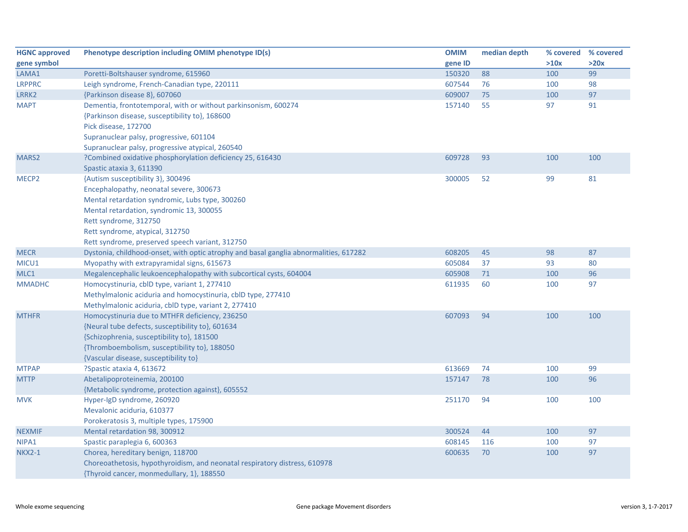| <b>HGNC approved</b> | Phenotype description including OMIM phenotype ID(s)                                  | <b>OMIM</b> | median depth | % covered | % covered |
|----------------------|---------------------------------------------------------------------------------------|-------------|--------------|-----------|-----------|
| gene symbol          |                                                                                       | gene ID     |              | >10x      | >20x      |
| LAMA1                | Poretti-Boltshauser syndrome, 615960                                                  | 150320      | 88           | 100       | 99        |
| <b>LRPPRC</b>        | Leigh syndrome, French-Canadian type, 220111                                          | 607544      | 76           | 100       | 98        |
| LRRK2                | {Parkinson disease 8}, 607060                                                         | 609007      | 75           | 100       | 97        |
| <b>MAPT</b>          | Dementia, frontotemporal, with or without parkinsonism, 600274                        | 157140      | 55           | 97        | 91        |
|                      | {Parkinson disease, susceptibility to}, 168600                                        |             |              |           |           |
|                      | Pick disease, 172700                                                                  |             |              |           |           |
|                      | Supranuclear palsy, progressive, 601104                                               |             |              |           |           |
|                      | Supranuclear palsy, progressive atypical, 260540                                      |             |              |           |           |
| MARS2                | ?Combined oxidative phosphorylation deficiency 25, 616430                             | 609728      | 93           | 100       | 100       |
|                      | Spastic ataxia 3, 611390                                                              |             |              |           |           |
| MECP <sub>2</sub>    | {Autism susceptibility 3}, 300496                                                     | 300005      | 52           | 99        | 81        |
|                      | Encephalopathy, neonatal severe, 300673                                               |             |              |           |           |
|                      | Mental retardation syndromic, Lubs type, 300260                                       |             |              |           |           |
|                      | Mental retardation, syndromic 13, 300055                                              |             |              |           |           |
|                      | Rett syndrome, 312750                                                                 |             |              |           |           |
|                      | Rett syndrome, atypical, 312750                                                       |             |              |           |           |
|                      | Rett syndrome, preserved speech variant, 312750                                       |             |              |           |           |
| <b>MECR</b>          | Dystonia, childhood-onset, with optic atrophy and basal ganglia abnormalities, 617282 | 608205      | 45           | 98        | 87        |
| MICU1                | Myopathy with extrapyramidal signs, 615673                                            | 605084      | 37           | 93        | 80        |
| MLC1                 | Megalencephalic leukoencephalopathy with subcortical cysts, 604004                    | 605908      | 71           | 100       | 96        |
| <b>MMADHC</b>        | Homocystinuria, cblD type, variant 1, 277410                                          | 611935      | 60           | 100       | 97        |
|                      | Methylmalonic aciduria and homocystinuria, cbID type, 277410                          |             |              |           |           |
|                      | Methylmalonic aciduria, cblD type, variant 2, 277410                                  |             |              |           |           |
| <b>MTHFR</b>         | Homocystinuria due to MTHFR deficiency, 236250                                        | 607093      | 94           | 100       | 100       |
|                      | {Neural tube defects, susceptibility to}, 601634                                      |             |              |           |           |
|                      | {Schizophrenia, susceptibility to}, 181500                                            |             |              |           |           |
|                      | {Thromboembolism, susceptibility to}, 188050                                          |             |              |           |           |
|                      | {Vascular disease, susceptibility to}                                                 |             |              |           |           |
| <b>MTPAP</b>         | ?Spastic ataxia 4, 613672                                                             | 613669      | 74           | 100       | 99        |
| <b>MTTP</b>          | Abetalipoproteinemia, 200100                                                          | 157147      | 78           | 100       | 96        |
|                      | {Metabolic syndrome, protection against}, 605552                                      |             |              |           |           |
| <b>MVK</b>           | Hyper-IgD syndrome, 260920                                                            | 251170      | 94           | 100       | 100       |
|                      | Mevalonic aciduria, 610377                                                            |             |              |           |           |
|                      | Porokeratosis 3, multiple types, 175900                                               |             |              |           |           |
| <b>NEXMIF</b>        | Mental retardation 98, 300912                                                         | 300524      | 44           | 100       | 97        |
| NIPA1                | Spastic paraplegia 6, 600363                                                          | 608145      | 116          | 100       | 97        |
| <b>NKX2-1</b>        | Chorea, hereditary benign, 118700                                                     | 600635      | 70           | 100       | 97        |
|                      | Choreoathetosis, hypothyroidism, and neonatal respiratory distress, 610978            |             |              |           |           |
|                      | {Thyroid cancer, monmedullary, 1}, 188550                                             |             |              |           |           |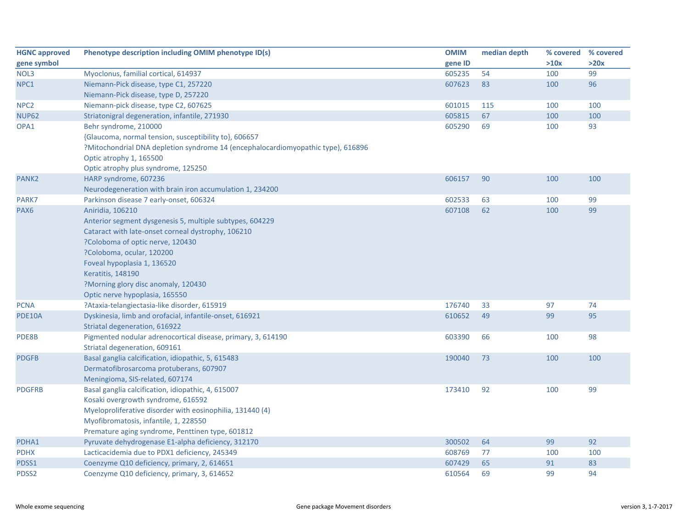| <b>HGNC approved</b> | Phenotype description including OMIM phenotype ID(s)                             | <b>OMIM</b> | median depth | % covered | % covered |
|----------------------|----------------------------------------------------------------------------------|-------------|--------------|-----------|-----------|
| gene symbol          |                                                                                  | gene ID     |              | >10x      | >20x      |
| NOL3                 | Myoclonus, familial cortical, 614937                                             | 605235      | 54           | 100       | 99        |
| NPC1                 | Niemann-Pick disease, type C1, 257220                                            | 607623      | 83           | 100       | 96        |
|                      | Niemann-Pick disease, type D, 257220                                             |             |              |           |           |
| NPC <sub>2</sub>     | Niemann-pick disease, type C2, 607625                                            | 601015      | 115          | 100       | 100       |
| <b>NUP62</b>         | Striatonigral degeneration, infantile, 271930                                    | 605815      | 67           | 100       | 100       |
| OPA1                 | Behr syndrome, 210000                                                            | 605290      | 69           | 100       | 93        |
|                      | {Glaucoma, normal tension, susceptibility to}, 606657                            |             |              |           |           |
|                      | ?Mitochondrial DNA depletion syndrome 14 (encephalocardiomyopathic type), 616896 |             |              |           |           |
|                      | Optic atrophy 1, 165500                                                          |             |              |           |           |
|                      | Optic atrophy plus syndrome, 125250                                              |             |              |           |           |
| PANK <sub>2</sub>    | HARP syndrome, 607236                                                            | 606157      | 90           | 100       | 100       |
|                      | Neurodegeneration with brain iron accumulation 1, 234200                         |             |              |           |           |
| PARK7                | Parkinson disease 7 early-onset, 606324                                          | 602533      | 63           | 100       | 99        |
| PAX <sub>6</sub>     | Aniridia, 106210                                                                 | 607108      | 62           | 100       | 99        |
|                      | Anterior segment dysgenesis 5, multiple subtypes, 604229                         |             |              |           |           |
|                      | Cataract with late-onset corneal dystrophy, 106210                               |             |              |           |           |
|                      | ?Coloboma of optic nerve, 120430                                                 |             |              |           |           |
|                      | ?Coloboma, ocular, 120200                                                        |             |              |           |           |
|                      | Foveal hypoplasia 1, 136520                                                      |             |              |           |           |
|                      | Keratitis, 148190                                                                |             |              |           |           |
|                      | ?Morning glory disc anomaly, 120430                                              |             |              |           |           |
|                      | Optic nerve hypoplasia, 165550                                                   |             |              |           |           |
| <b>PCNA</b>          | ?Ataxia-telangiectasia-like disorder, 615919                                     | 176740      | 33           | 97        | 74        |
| PDE10A               | Dyskinesia, limb and orofacial, infantile-onset, 616921                          | 610652      | 49           | 99        | 95        |
|                      | Striatal degeneration, 616922                                                    |             |              |           |           |
| PDE8B                | Pigmented nodular adrenocortical disease, primary, 3, 614190                     | 603390      | 66           | 100       | 98        |
|                      | Striatal degeneration, 609161                                                    |             |              |           |           |
| <b>PDGFB</b>         | Basal ganglia calcification, idiopathic, 5, 615483                               | 190040      | 73           | 100       | 100       |
|                      | Dermatofibrosarcoma protuberans, 607907                                          |             |              |           |           |
|                      | Meningioma, SIS-related, 607174                                                  |             |              |           |           |
| <b>PDGFRB</b>        | Basal ganglia calcification, idiopathic, 4, 615007                               | 173410      | 92           | 100       | 99        |
|                      | Kosaki overgrowth syndrome, 616592                                               |             |              |           |           |
|                      | Myeloproliferative disorder with eosinophilia, 131440 (4)                        |             |              |           |           |
|                      | Myofibromatosis, infantile, 1, 228550                                            |             |              |           |           |
|                      | Premature aging syndrome, Penttinen type, 601812                                 |             |              |           |           |
| PDHA1                | Pyruvate dehydrogenase E1-alpha deficiency, 312170                               | 300502      | 64           | 99        | 92        |
| <b>PDHX</b>          | Lacticacidemia due to PDX1 deficiency, 245349                                    | 608769      | 77           | 100       | 100       |
| PDSS1                | Coenzyme Q10 deficiency, primary, 2, 614651                                      | 607429      | 65           | 91        | 83        |
| PDSS2                | Coenzyme Q10 deficiency, primary, 3, 614652                                      | 610564      | 69           | 99        | 94        |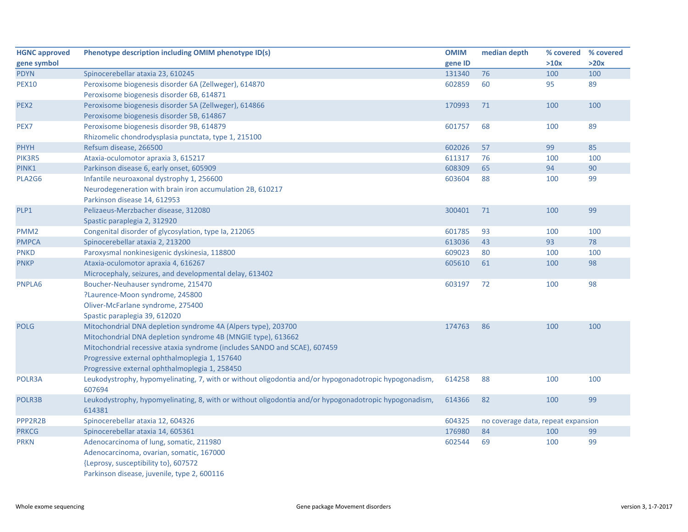| <b>HGNC approved</b> | Phenotype description including OMIM phenotype ID(s)                                                            | <b>OMIM</b> | median depth                       | % covered | % covered |
|----------------------|-----------------------------------------------------------------------------------------------------------------|-------------|------------------------------------|-----------|-----------|
| gene symbol          |                                                                                                                 | gene ID     |                                    | >10x      | >20x      |
| <b>PDYN</b>          | Spinocerebellar ataxia 23, 610245                                                                               | 131340      | 76                                 | 100       | 100       |
| <b>PEX10</b>         | Peroxisome biogenesis disorder 6A (Zellweger), 614870                                                           | 602859      | 60                                 | 95        | 89        |
|                      | Peroxisome biogenesis disorder 6B, 614871                                                                       |             |                                    |           |           |
| PEX <sub>2</sub>     | Peroxisome biogenesis disorder 5A (Zellweger), 614866                                                           | 170993      | 71                                 | 100       | 100       |
|                      | Peroxisome biogenesis disorder 5B, 614867                                                                       |             |                                    |           |           |
| PEX7                 | Peroxisome biogenesis disorder 9B, 614879                                                                       | 601757      | 68                                 | 100       | 89        |
|                      | Rhizomelic chondrodysplasia punctata, type 1, 215100                                                            |             |                                    |           |           |
| <b>PHYH</b>          | Refsum disease, 266500                                                                                          | 602026      | 57                                 | 99        | 85        |
| PIK3R5               | Ataxia-oculomotor apraxia 3, 615217                                                                             | 611317      | 76                                 | 100       | 100       |
| PINK1                | Parkinson disease 6, early onset, 605909                                                                        | 608309      | 65                                 | 94        | 90        |
| PLA2G6               | Infantile neuroaxonal dystrophy 1, 256600                                                                       | 603604      | 88                                 | 100       | 99        |
|                      | Neurodegeneration with brain iron accumulation 2B, 610217                                                       |             |                                    |           |           |
|                      | Parkinson disease 14, 612953                                                                                    |             |                                    |           |           |
| PLP1                 | Pelizaeus-Merzbacher disease, 312080                                                                            | 300401      | 71                                 | 100       | 99        |
|                      | Spastic paraplegia 2, 312920                                                                                    |             |                                    |           |           |
| PMM <sub>2</sub>     | Congenital disorder of glycosylation, type Ia, 212065                                                           | 601785      | 93                                 | 100       | 100       |
| <b>PMPCA</b>         | Spinocerebellar ataxia 2, 213200                                                                                | 613036      | 43                                 | 93        | 78        |
| <b>PNKD</b>          | Paroxysmal nonkinesigenic dyskinesia, 118800                                                                    | 609023      | 80                                 | 100       | 100       |
| <b>PNKP</b>          | Ataxia-oculomotor apraxia 4, 616267                                                                             | 605610      | 61                                 | 100       | 98        |
|                      | Microcephaly, seizures, and developmental delay, 613402                                                         |             |                                    |           |           |
| PNPLA6               | Boucher-Neuhauser syndrome, 215470                                                                              | 603197      | 72                                 | 100       | 98        |
|                      | ?Laurence-Moon syndrome, 245800                                                                                 |             |                                    |           |           |
|                      | Oliver-McFarlane syndrome, 275400                                                                               |             |                                    |           |           |
|                      | Spastic paraplegia 39, 612020                                                                                   |             |                                    |           |           |
| <b>POLG</b>          | Mitochondrial DNA depletion syndrome 4A (Alpers type), 203700                                                   | 174763      | 86                                 | 100       | 100       |
|                      | Mitochondrial DNA depletion syndrome 4B (MNGIE type), 613662                                                    |             |                                    |           |           |
|                      | Mitochondrial recessive ataxia syndrome (includes SANDO and SCAE), 607459                                       |             |                                    |           |           |
|                      | Progressive external ophthalmoplegia 1, 157640                                                                  |             |                                    |           |           |
|                      | Progressive external ophthalmoplegia 1, 258450                                                                  |             |                                    |           |           |
| POLR3A               | Leukodystrophy, hypomyelinating, 7, with or without oligodontia and/or hypogonadotropic hypogonadism,           | 614258      | 88                                 | 100       | 100       |
|                      | 607694                                                                                                          |             |                                    |           |           |
| POLR3B               | Leukodystrophy, hypomyelinating, 8, with or without oligodontia and/or hypogonadotropic hypogonadism,<br>614381 | 614366      | 82                                 | 100       | 99        |
| PPP2R2B              | Spinocerebellar ataxia 12, 604326                                                                               | 604325      | no coverage data, repeat expansion |           |           |
| <b>PRKCG</b>         | Spinocerebellar ataxia 14, 605361                                                                               | 176980      | 84                                 | 100       | 99        |
| <b>PRKN</b>          | Adenocarcinoma of lung, somatic, 211980                                                                         | 602544      | 69                                 | 100       | 99        |
|                      | Adenocarcinoma, ovarian, somatic, 167000                                                                        |             |                                    |           |           |
|                      | {Leprosy, susceptibility to}, 607572                                                                            |             |                                    |           |           |
|                      | Parkinson disease, juvenile, type 2, 600116                                                                     |             |                                    |           |           |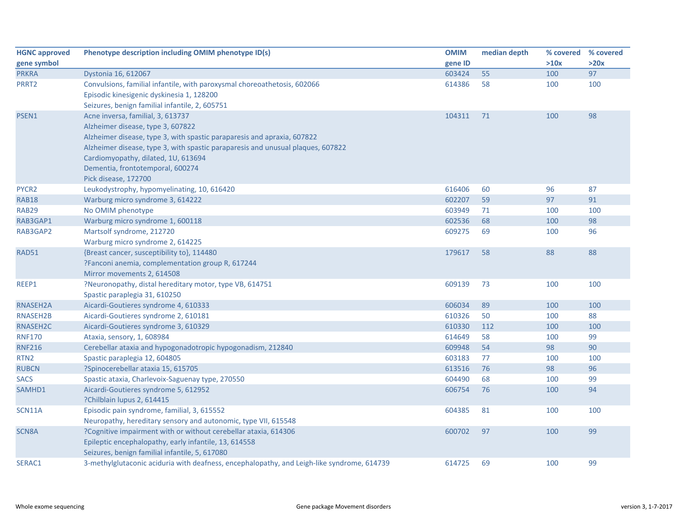| <b>HGNC approved</b> | Phenotype description including OMIM phenotype ID(s)                                                                                                                                                                                                                                                                                    | <b>OMIM</b> | median depth | % covered | % covered |
|----------------------|-----------------------------------------------------------------------------------------------------------------------------------------------------------------------------------------------------------------------------------------------------------------------------------------------------------------------------------------|-------------|--------------|-----------|-----------|
| gene symbol          |                                                                                                                                                                                                                                                                                                                                         | gene ID     |              | >10x      | >20x      |
| <b>PRKRA</b>         | Dystonia 16, 612067                                                                                                                                                                                                                                                                                                                     | 603424      | 55           | 100       | 97        |
| PRRT <sub>2</sub>    | Convulsions, familial infantile, with paroxysmal choreoathetosis, 602066<br>Episodic kinesigenic dyskinesia 1, 128200<br>Seizures, benign familial infantile, 2, 605751                                                                                                                                                                 | 614386      | 58           | 100       | 100       |
| PSEN1                | Acne inversa, familial, 3, 613737<br>Alzheimer disease, type 3, 607822<br>Alzheimer disease, type 3, with spastic paraparesis and apraxia, 607822<br>Alzheimer disease, type 3, with spastic paraparesis and unusual plaques, 607822<br>Cardiomyopathy, dilated, 1U, 613694<br>Dementia, frontotemporal, 600274<br>Pick disease, 172700 | 104311      | 71           | 100       | 98        |
| PYCR2                | Leukodystrophy, hypomyelinating, 10, 616420                                                                                                                                                                                                                                                                                             | 616406      | 60           | 96        | 87        |
| <b>RAB18</b>         | Warburg micro syndrome 3, 614222                                                                                                                                                                                                                                                                                                        | 602207      | 59           | 97        | 91        |
| RAB29                | No OMIM phenotype                                                                                                                                                                                                                                                                                                                       | 603949      | 71           | 100       | 100       |
| RAB3GAP1             | Warburg micro syndrome 1, 600118                                                                                                                                                                                                                                                                                                        | 602536      | 68           | 100       | 98        |
| RAB3GAP2             | Martsolf syndrome, 212720<br>Warburg micro syndrome 2, 614225                                                                                                                                                                                                                                                                           | 609275      | 69           | 100       | 96        |
| <b>RAD51</b>         | {Breast cancer, susceptibility to}, 114480<br>?Fanconi anemia, complementation group R, 617244<br>Mirror movements 2, 614508                                                                                                                                                                                                            | 179617      | 58           | 88        | 88        |
| REEP1                | ?Neuronopathy, distal hereditary motor, type VB, 614751<br>Spastic paraplegia 31, 610250                                                                                                                                                                                                                                                | 609139      | 73           | 100       | 100       |
| RNASEH2A             | Aicardi-Goutieres syndrome 4, 610333                                                                                                                                                                                                                                                                                                    | 606034      | 89           | 100       | 100       |
| <b>RNASEH2B</b>      | Aicardi-Goutieres syndrome 2, 610181                                                                                                                                                                                                                                                                                                    | 610326      | 50           | 100       | 88        |
| RNASEH2C             | Aicardi-Goutieres syndrome 3, 610329                                                                                                                                                                                                                                                                                                    | 610330      | 112          | 100       | 100       |
| <b>RNF170</b>        | Ataxia, sensory, 1, 608984                                                                                                                                                                                                                                                                                                              | 614649      | 58           | 100       | 99        |
| <b>RNF216</b>        | Cerebellar ataxia and hypogonadotropic hypogonadism, 212840                                                                                                                                                                                                                                                                             | 609948      | 54           | 98        | 90        |
| RTN <sub>2</sub>     | Spastic paraplegia 12, 604805                                                                                                                                                                                                                                                                                                           | 603183      | 77           | 100       | 100       |
| <b>RUBCN</b>         | ?Spinocerebellar ataxia 15, 615705                                                                                                                                                                                                                                                                                                      | 613516      | 76           | 98        | 96        |
| <b>SACS</b>          | Spastic ataxia, Charlevoix-Saguenay type, 270550                                                                                                                                                                                                                                                                                        | 604490      | 68           | 100       | 99        |
| SAMHD1               | Aicardi-Goutieres syndrome 5, 612952<br>?Chilblain lupus 2, 614415                                                                                                                                                                                                                                                                      | 606754      | 76           | 100       | 94        |
| SCN11A               | Episodic pain syndrome, familial, 3, 615552<br>Neuropathy, hereditary sensory and autonomic, type VII, 615548                                                                                                                                                                                                                           | 604385      | 81           | 100       | 100       |
| <b>SCN8A</b>         | ?Cognitive impairment with or without cerebellar ataxia, 614306<br>Epileptic encephalopathy, early infantile, 13, 614558<br>Seizures, benign familial infantile, 5, 617080                                                                                                                                                              | 600702      | 97           | 100       | 99        |
| SERAC1               | 3-methylglutaconic aciduria with deafness, encephalopathy, and Leigh-like syndrome, 614739                                                                                                                                                                                                                                              | 614725      | 69           | 100       | 99        |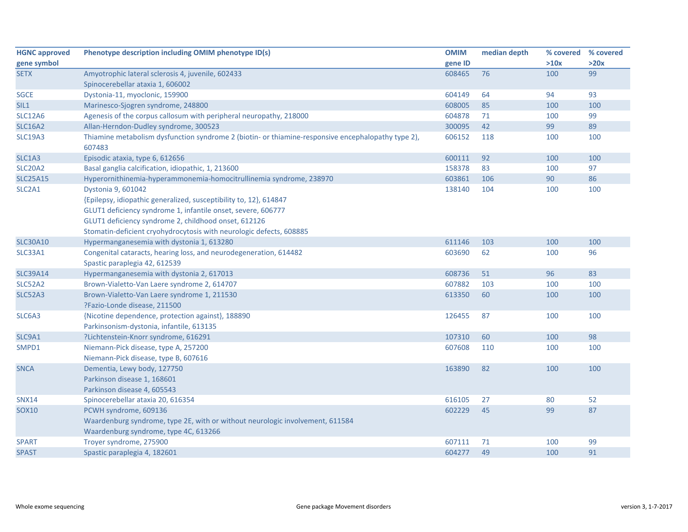| <b>HGNC approved</b>            | Phenotype description including OMIM phenotype ID(s)                                                                                                                                                                                                             | <b>OMIM</b> | median depth | % covered % covered |      |
|---------------------------------|------------------------------------------------------------------------------------------------------------------------------------------------------------------------------------------------------------------------------------------------------------------|-------------|--------------|---------------------|------|
| gene symbol                     |                                                                                                                                                                                                                                                                  | gene ID     |              | >10x                | >20x |
| <b>SETX</b>                     | Amyotrophic lateral sclerosis 4, juvenile, 602433                                                                                                                                                                                                                | 608465      | 76           | 100                 | 99   |
|                                 | Spinocerebellar ataxia 1, 606002                                                                                                                                                                                                                                 |             |              |                     |      |
| <b>SGCE</b>                     | Dystonia-11, myoclonic, 159900                                                                                                                                                                                                                                   | 604149      | 64           | 94                  | 93   |
| SIL1                            | Marinesco-Sjogren syndrome, 248800                                                                                                                                                                                                                               | 608005      | 85           | 100                 | 100  |
| <b>SLC12A6</b>                  | Agenesis of the corpus callosum with peripheral neuropathy, 218000                                                                                                                                                                                               | 604878      | 71           | 100                 | 99   |
| <b>SLC16A2</b>                  | Allan-Herndon-Dudley syndrome, 300523                                                                                                                                                                                                                            | 300095      | 42           | 99                  | 89   |
| <b>SLC19A3</b>                  | Thiamine metabolism dysfunction syndrome 2 (biotin- or thiamine-responsive encephalopathy type 2),<br>607483                                                                                                                                                     | 606152      | 118          | 100                 | 100  |
| SLC1A3                          | Episodic ataxia, type 6, 612656                                                                                                                                                                                                                                  | 600111      | 92           | 100                 | 100  |
| SLC20A2                         | Basal ganglia calcification, idiopathic, 1, 213600                                                                                                                                                                                                               | 158378      | 83           | 100                 | 97   |
| <b>SLC25A15</b>                 | Hyperornithinemia-hyperammonemia-homocitrullinemia syndrome, 238970                                                                                                                                                                                              | 603861      | 106          | 90                  | 86   |
| SLC <sub>2</sub> A <sub>1</sub> | Dystonia 9, 601042                                                                                                                                                                                                                                               | 138140      | 104          | 100                 | 100  |
|                                 | {Epilepsy, idiopathic generalized, susceptibility to, 12}, 614847<br>GLUT1 deficiency syndrome 1, infantile onset, severe, 606777<br>GLUT1 deficiency syndrome 2, childhood onset, 612126<br>Stomatin-deficient cryohydrocytosis with neurologic defects, 608885 |             |              |                     |      |
| <b>SLC30A10</b>                 | Hypermanganesemia with dystonia 1, 613280                                                                                                                                                                                                                        | 611146      | 103          | 100                 | 100  |
| <b>SLC33A1</b>                  | Congenital cataracts, hearing loss, and neurodegeneration, 614482<br>Spastic paraplegia 42, 612539                                                                                                                                                               | 603690      | 62           | 100                 | 96   |
| <b>SLC39A14</b>                 | Hypermanganesemia with dystonia 2, 617013                                                                                                                                                                                                                        | 608736      | 51           | 96                  | 83   |
| <b>SLC52A2</b>                  | Brown-Vialetto-Van Laere syndrome 2, 614707                                                                                                                                                                                                                      | 607882      | 103          | 100                 | 100  |
| <b>SLC52A3</b>                  | Brown-Vialetto-Van Laere syndrome 1, 211530<br>?Fazio-Londe disease, 211500                                                                                                                                                                                      | 613350      | 60           | 100                 | 100  |
| SLC6A3                          | {Nicotine dependence, protection against}, 188890<br>Parkinsonism-dystonia, infantile, 613135                                                                                                                                                                    | 126455      | 87           | 100                 | 100  |
| SLC9A1                          | ?Lichtenstein-Knorr syndrome, 616291                                                                                                                                                                                                                             | 107310      | 60           | 100                 | 98   |
| SMPD1                           | Niemann-Pick disease, type A, 257200<br>Niemann-Pick disease, type B, 607616                                                                                                                                                                                     | 607608      | 110          | 100                 | 100  |
| <b>SNCA</b>                     | Dementia, Lewy body, 127750<br>Parkinson disease 1, 168601<br>Parkinson disease 4, 605543                                                                                                                                                                        | 163890      | 82           | 100                 | 100  |
| <b>SNX14</b>                    | Spinocerebellar ataxia 20, 616354                                                                                                                                                                                                                                | 616105      | 27           | 80                  | 52   |
| <b>SOX10</b>                    | PCWH syndrome, 609136<br>Waardenburg syndrome, type 2E, with or without neurologic involvement, 611584<br>Waardenburg syndrome, type 4C, 613266                                                                                                                  | 602229      | 45           | 99                  | 87   |
| <b>SPART</b>                    | Troyer syndrome, 275900                                                                                                                                                                                                                                          | 607111      | 71           | 100                 | 99   |
| <b>SPAST</b>                    | Spastic paraplegia 4, 182601                                                                                                                                                                                                                                     | 604277      | 49           | 100                 | 91   |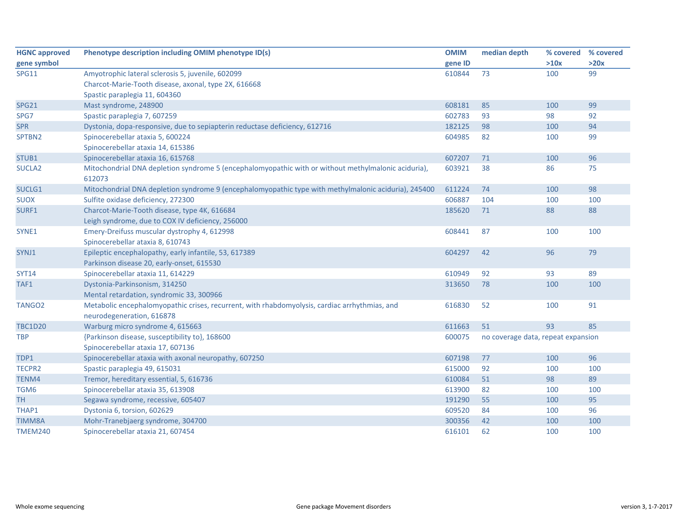| <b>HGNC approved</b> | Phenotype description including OMIM phenotype ID(s)                                                          | <b>OMIM</b> | median depth                       | % covered | % covered |
|----------------------|---------------------------------------------------------------------------------------------------------------|-------------|------------------------------------|-----------|-----------|
| gene symbol          |                                                                                                               | gene ID     |                                    | >10x      | >20x      |
| <b>SPG11</b>         | Amyotrophic lateral sclerosis 5, juvenile, 602099                                                             | 610844      | 73                                 | 100       | 99        |
|                      | Charcot-Marie-Tooth disease, axonal, type 2X, 616668                                                          |             |                                    |           |           |
|                      | Spastic paraplegia 11, 604360                                                                                 |             |                                    |           |           |
| <b>SPG21</b>         | Mast syndrome, 248900                                                                                         | 608181      | 85                                 | 100       | 99        |
| SPG7                 | Spastic paraplegia 7, 607259                                                                                  | 602783      | 93                                 | 98        | 92        |
| <b>SPR</b>           | Dystonia, dopa-responsive, due to sepiapterin reductase deficiency, 612716                                    | 182125      | 98                                 | 100       | 94        |
| SPTBN2               | Spinocerebellar ataxia 5, 600224                                                                              | 604985      | 82                                 | 100       | 99        |
|                      | Spinocerebellar ataxia 14, 615386                                                                             |             |                                    |           |           |
| STUB1                | Spinocerebellar ataxia 16, 615768                                                                             | 607207      | 71                                 | 100       | 96        |
| SUCLA <sub>2</sub>   | Mitochondrial DNA depletion syndrome 5 (encephalomyopathic with or without methylmalonic aciduria),<br>612073 | 603921      | 38                                 | 86        | 75        |
| SUCLG1               | Mitochondrial DNA depletion syndrome 9 (encephalomyopathic type with methylmalonic aciduria), 245400          | 611224      | 74                                 | 100       | 98        |
| <b>SUOX</b>          | Sulfite oxidase deficiency, 272300                                                                            | 606887      | 104                                | 100       | 100       |
| SURF1                | Charcot-Marie-Tooth disease, type 4K, 616684                                                                  | 185620      | 71                                 | 88        | 88        |
|                      | Leigh syndrome, due to COX IV deficiency, 256000                                                              |             |                                    |           |           |
| SYNE1                | Emery-Dreifuss muscular dystrophy 4, 612998                                                                   | 608441      | 87                                 | 100       | 100       |
|                      | Spinocerebellar ataxia 8, 610743                                                                              |             |                                    |           |           |
| SYNJ1                | Epileptic encephalopathy, early infantile, 53, 617389                                                         | 604297      | 42                                 | 96        | 79        |
|                      | Parkinson disease 20, early-onset, 615530                                                                     |             |                                    |           |           |
| <b>SYT14</b>         | Spinocerebellar ataxia 11, 614229                                                                             | 610949      | 92                                 | 93        | 89        |
| TAF1                 | Dystonia-Parkinsonism, 314250                                                                                 | 313650      | 78                                 | 100       | 100       |
|                      | Mental retardation, syndromic 33, 300966                                                                      |             |                                    |           |           |
| TANGO <sub>2</sub>   | Metabolic encephalomyopathic crises, recurrent, with rhabdomyolysis, cardiac arrhythmias, and                 | 616830      | 52                                 | 100       | 91        |
|                      | neurodegeneration, 616878                                                                                     |             |                                    |           |           |
| <b>TBC1D20</b>       | Warburg micro syndrome 4, 615663                                                                              | 611663      | 51                                 | 93        | 85        |
| <b>TBP</b>           | {Parkinson disease, susceptibility to}, 168600                                                                | 600075      | no coverage data, repeat expansion |           |           |
|                      | Spinocerebellar ataxia 17, 607136                                                                             |             |                                    |           |           |
| TDP1                 | Spinocerebellar ataxia with axonal neuropathy, 607250                                                         | 607198      | 77                                 | 100       | 96        |
| TECPR2               | Spastic paraplegia 49, 615031                                                                                 | 615000      | 92                                 | 100       | 100       |
| TENM4                | Tremor, hereditary essential, 5, 616736                                                                       | 610084      | 51                                 | 98        | 89        |
| TGM6                 | Spinocerebellar ataxia 35, 613908                                                                             | 613900      | 82                                 | 100       | 100       |
| <b>TH</b>            | Segawa syndrome, recessive, 605407                                                                            | 191290      | 55                                 | 100       | 95        |
| THAP1                | Dystonia 6, torsion, 602629                                                                                   | 609520      | 84                                 | 100       | 96        |
| <b>TIMM8A</b>        | Mohr-Tranebjaerg syndrome, 304700                                                                             | 300356      | 42                                 | 100       | 100       |
| <b>TMEM240</b>       | Spinocerebellar ataxia 21, 607454                                                                             | 616101      | 62                                 | 100       | 100       |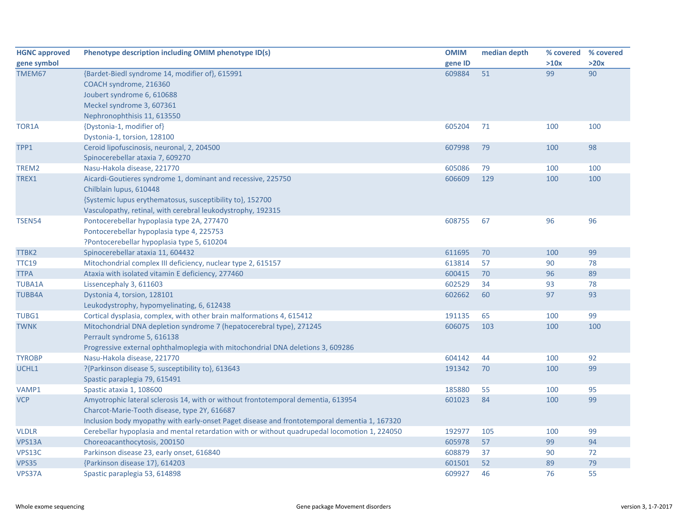| <b>HGNC approved</b> | Phenotype description including OMIM phenotype ID(s)                                          | <b>OMIM</b> | median depth | % covered | % covered |
|----------------------|-----------------------------------------------------------------------------------------------|-------------|--------------|-----------|-----------|
| gene symbol          |                                                                                               | gene ID     |              | >10x      | >20x      |
| TMEM67               | {Bardet-Biedl syndrome 14, modifier of}, 615991                                               | 609884      | 51           | 99        | 90        |
|                      | COACH syndrome, 216360                                                                        |             |              |           |           |
|                      | Joubert syndrome 6, 610688                                                                    |             |              |           |           |
|                      | Meckel syndrome 3, 607361                                                                     |             |              |           |           |
|                      | Nephronophthisis 11, 613550                                                                   |             |              |           |           |
| TOR1A                | {Dystonia-1, modifier of}                                                                     | 605204      | 71           | 100       | 100       |
|                      | Dystonia-1, torsion, 128100                                                                   |             |              |           |           |
| TPP1                 | Ceroid lipofuscinosis, neuronal, 2, 204500                                                    | 607998      | 79           | 100       | 98        |
|                      | Spinocerebellar ataxia 7, 609270                                                              |             |              |           |           |
| TREM2                | Nasu-Hakola disease, 221770                                                                   | 605086      | 79           | 100       | 100       |
| TREX1                | Aicardi-Goutieres syndrome 1, dominant and recessive, 225750                                  | 606609      | 129          | 100       | 100       |
|                      | Chilblain lupus, 610448                                                                       |             |              |           |           |
|                      | {Systemic lupus erythematosus, susceptibility to}, 152700                                     |             |              |           |           |
|                      | Vasculopathy, retinal, with cerebral leukodystrophy, 192315                                   |             |              |           |           |
| <b>TSEN54</b>        | Pontocerebellar hypoplasia type 2A, 277470                                                    | 608755      | 67           | 96        | 96        |
|                      | Pontocerebellar hypoplasia type 4, 225753                                                     |             |              |           |           |
|                      | ?Pontocerebellar hypoplasia type 5, 610204                                                    |             |              |           |           |
| TTBK2                | Spinocerebellar ataxia 11, 604432                                                             | 611695      | 70           | 100       | 99        |
| <b>TTC19</b>         | Mitochondrial complex III deficiency, nuclear type 2, 615157                                  | 613814      | 57           | 90        | 78        |
| <b>TTPA</b>          | Ataxia with isolated vitamin E deficiency, 277460                                             | 600415      | 70           | 96        | 89        |
| <b>TUBA1A</b>        | Lissencephaly 3, 611603                                                                       | 602529      | 34           | 93        | 78        |
| <b>TUBB4A</b>        | Dystonia 4, torsion, 128101                                                                   | 602662      | 60           | 97        | 93        |
|                      | Leukodystrophy, hypomyelinating, 6, 612438                                                    |             |              |           |           |
| TUBG1                | Cortical dysplasia, complex, with other brain malformations 4, 615412                         | 191135      | 65           | 100       | 99        |
| <b>TWNK</b>          | Mitochondrial DNA depletion syndrome 7 (hepatocerebral type), 271245                          | 606075      | 103          | 100       | 100       |
|                      | Perrault syndrome 5, 616138                                                                   |             |              |           |           |
|                      | Progressive external ophthalmoplegia with mitochondrial DNA deletions 3, 609286               |             |              |           |           |
| <b>TYROBP</b>        | Nasu-Hakola disease, 221770                                                                   | 604142      | 44           | 100       | 92        |
| UCHL1                | ?{Parkinson disease 5, susceptibility to}, 613643                                             | 191342      | 70           | 100       | 99        |
|                      | Spastic paraplegia 79, 615491                                                                 |             |              |           |           |
| VAMP1                | Spastic ataxia 1, 108600                                                                      | 185880      | 55           | 100       | 95        |
| <b>VCP</b>           | Amyotrophic lateral sclerosis 14, with or without frontotemporal dementia, 613954             | 601023      | 84           | 100       | 99        |
|                      | Charcot-Marie-Tooth disease, type 2Y, 616687                                                  |             |              |           |           |
|                      | Inclusion body myopathy with early-onset Paget disease and frontotemporal dementia 1, 167320  |             |              |           |           |
| <b>VLDLR</b>         | Cerebellar hypoplasia and mental retardation with or without quadrupedal locomotion 1, 224050 | 192977      | 105          | 100       | 99        |
| VPS13A               | Choreoacanthocytosis, 200150                                                                  | 605978      | 57           | 99        | 94        |
| VPS13C               | Parkinson disease 23, early onset, 616840                                                     | 608879      | 37           | 90        | 72        |
| <b>VPS35</b>         | {Parkinson disease 17}, 614203                                                                | 601501      | 52           | 89        | 79        |
| VPS37A               | Spastic paraplegia 53, 614898                                                                 | 609927      | 46           | 76        | 55        |